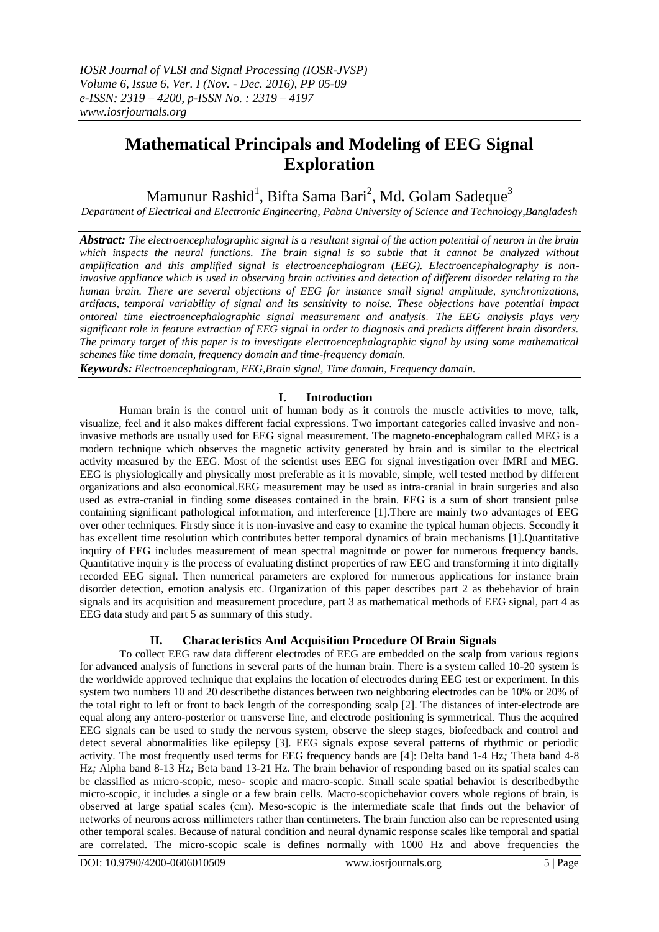# **Mathematical Principals and Modeling of EEG Signal Exploration**

Mamunur Rashid<sup>1</sup>, Bifta Sama Bari<sup>2</sup>, Md. Golam Sadeque<sup>3</sup>

*Department of Electrical and Electronic Engineering, Pabna University of Science and Technology,Bangladesh*

*Abstract: The electroencephalographic signal is a resultant signal of the action potential of neuron in the brain which inspects the neural functions. The brain signal is so subtle that it cannot be analyzed without amplification and this amplified signal is electroencephalogram (EEG). Electroencephalography is noninvasive appliance which is used in observing brain activities and detection of different disorder relating to the human brain. There are several objections of EEG for instance small signal amplitude, synchronizations, artifacts, temporal variability of signal and its sensitivity to noise. These objections have potential impact ontoreal time electroencephalographic signal measurement and analysis. The EEG analysis plays very significant role in feature extraction of EEG signal in order to diagnosis and predicts different brain disorders. The primary target of this paper is to investigate electroencephalographic signal by using some mathematical schemes like time domain, frequency domain and time-frequency domain.*

*Keywords: Electroencephalogram, EEG,Brain signal, Time domain, Frequency domain.*

## **I. Introduction**

Human brain is the control unit of human body as it controls the muscle activities to move, talk, visualize, feel and it also makes different facial expressions. Two important categories called invasive and noninvasive methods are usually used for EEG signal measurement. The magneto-encephalogram called MEG is a modern technique which observes the magnetic activity generated by brain and is similar to the electrical activity measured by the EEG. Most of the scientist uses EEG for signal investigation over fMRI and MEG. EEG is physiologically and physically most preferable as it is movable, simple, well tested method by different organizations and also economical.EEG measurement may be used as intra-cranial in brain surgeries and also used as extra-cranial in finding some diseases contained in the brain. EEG is a sum of short transient pulse containing significant pathological information, and interference [1].There are mainly two advantages of EEG over other techniques. Firstly since it is non-invasive and easy to examine the typical human objects. Secondly it has excellent time resolution which contributes better temporal dynamics of brain mechanisms [1].Quantitative inquiry of EEG includes measurement of mean spectral magnitude or power for numerous frequency bands. Quantitative inquiry is the process of evaluating distinct properties of raw EEG and transforming it into digitally recorded EEG signal. Then numerical parameters are explored for numerous applications for instance brain disorder detection, emotion analysis etc. Organization of this paper describes part 2 as thebehavior of brain signals and its acquisition and measurement procedure, part 3 as mathematical methods of EEG signal, part 4 as EEG data study and part 5 as summary of this study.

## **II. Characteristics And Acquisition Procedure Of Brain Signals**

To collect EEG raw data different electrodes of EEG are embedded on the scalp from various regions for advanced analysis of functions in several parts of the human brain. There is a system called 10-20 system is the worldwide approved technique that explains the location of electrodes during EEG test or experiment. In this system two numbers 10 and 20 describethe distances between two neighboring electrodes can be 10% or 20% of the total right to left or front to back length of the corresponding scalp [2]. The distances of inter-electrode are equal along any antero-posterior or transverse line, and electrode positioning is symmetrical. Thus the acquired EEG signals can be used to study the nervous system, observe the sleep stages, biofeedback and control and detect several abnormalities like epilepsy [3]. EEG signals expose several patterns of rhythmic or periodic activity. The most frequently used terms for EEG frequency bands are [4]: Delta band 1-4 Hz*;* Theta band 4-8 Hz*;* Alpha band 8-13 Hz*;* Beta band 13-21 Hz*.* The brain behavior of responding based on its spatial scales can be classified as micro-scopic, meso- scopic and macro-scopic. Small scale spatial behavior is describedbythe micro-scopic, it includes a single or a few brain cells. Macro-scopicbehavior covers whole regions of brain, is observed at large spatial scales (cm). Meso-scopic is the intermediate scale that finds out the behavior of networks of neurons across millimeters rather than centimeters. The brain function also can be represented using other temporal scales. Because of natural condition and neural dynamic response scales like temporal and spatial are correlated. The micro-scopic scale is defines normally with 1000 Hz and above frequencies the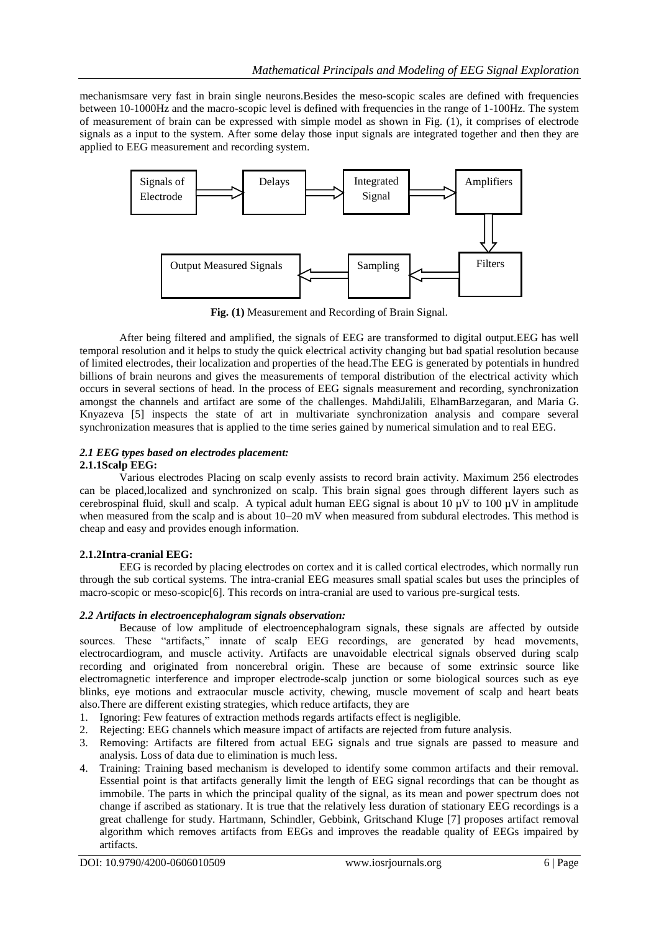mechanismsare very fast in brain single neurons.Besides the meso-scopic scales are defined with frequencies between 10-1000Hz and the macro-scopic level is defined with frequencies in the range of 1-100Hz. The system of measurement of brain can be expressed with simple model as shown in Fig. (1), it comprises of electrode signals as a input to the system. After some delay those input signals are integrated together and then they are applied to EEG measurement and recording system.



**Fig. (1)** Measurement and Recording of Brain Signal.

After being filtered and amplified, the signals of EEG are transformed to digital output.EEG has well temporal resolution and it helps to study the quick electrical activity changing but bad spatial resolution because of limited electrodes, their localization and properties of the head.The EEG is generated by potentials in hundred billions of brain neurons and gives the measurements of temporal distribution of the electrical activity which occurs in several sections of head. In the process of EEG signals measurement and recording, synchronization amongst the channels and artifact are some of the challenges. MahdiJalili, ElhamBarzegaran, and Maria G. Knyazeva [5] inspects the state of art in multivariate synchronization analysis and compare several synchronization measures that is applied to the time series gained by numerical simulation and to real EEG.

## *2.1 EEG types based on electrodes placement:*

## **2.1.1Scalp EEG:**

Various electrodes Placing on scalp evenly assists to record brain activity. Maximum 256 electrodes can be placed,localized and synchronized on scalp. This brain signal goes through different layers such as cerebrospinal fluid, skull and scalp. A typical adult human EEG signal is about 10  $\mu$ V to 100  $\mu$ V in amplitude when measured from the scalp and is about 10–20 mV when measured from subdural electrodes. This method is cheap and easy and provides enough information.

## **2.1.2Intra-cranial EEG:**

EEG is recorded by placing electrodes on cortex and it is called cortical electrodes, which normally run through the sub cortical systems. The intra-cranial EEG measures small spatial scales but uses the principles of macro-scopic or meso-scopic[6]. This records on intra-cranial are used to various pre-surgical tests.

## *2.2 Artifacts in electroencephalogram signals observation:*

Because of low amplitude of electroencephalogram signals, these signals are affected by outside sources. These "artifacts," innate of scalp EEG recordings, are generated by head movements, electrocardiogram, and muscle activity. Artifacts are unavoidable electrical signals observed during scalp recording and originated from noncerebral origin. These are because of some extrinsic source like electromagnetic interference and improper electrode-scalp junction or some biological sources such as eye blinks, eye motions and extraocular muscle activity, chewing, muscle movement of scalp and heart beats also.There are different existing strategies, which reduce artifacts, they are

- 1. Ignoring: Few features of extraction methods regards artifacts effect is negligible.
- 2. Rejecting: EEG channels which measure impact of artifacts are rejected from future analysis.
- 3. Removing: Artifacts are filtered from actual EEG signals and true signals are passed to measure and analysis. Loss of data due to elimination is much less.
- 4. Training: Training based mechanism is developed to identify some common artifacts and their removal. Essential point is that artifacts generally limit the length of EEG signal recordings that can be thought as immobile. The parts in which the principal quality of the signal, as its mean and power spectrum does not change if ascribed as stationary. It is true that the relatively less duration of stationary EEG recordings is a great challenge for study. Hartmann, Schindler, Gebbink, Gritschand Kluge [7] proposes artifact removal algorithm which removes artifacts from EEGs and improves the readable quality of EEGs impaired by artifacts.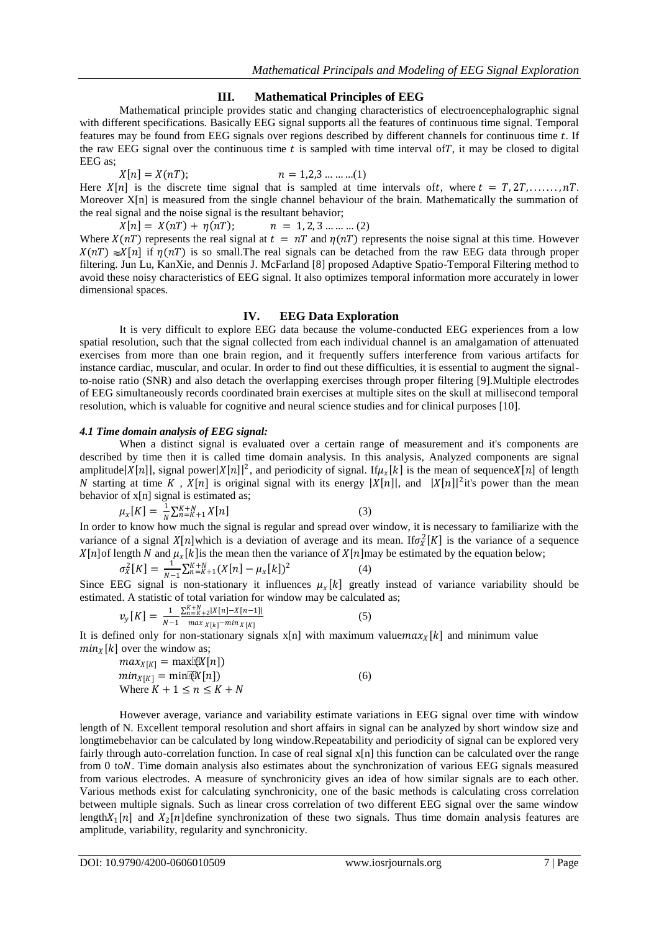#### **III. Mathematical Principles of EEG**

Mathematical principle provides static and changing characteristics of electroencephalographic signal with different specifications. Basically EEG signal supports all the features of continuous time signal. Temporal features may be found from EEG signals over regions described by different channels for continuous time  $t$ . If the raw EEG signal over the continuous time  $t$  is sampled with time interval of  $T$ , it may be closed to digital EEG as;

 $X[n] = X(nT);$   $n = 1,2,3 \ldots \ldots (1)$ Here  $X[n]$  is the discrete time signal that is sampled at time intervals oft, where  $t = T, 2T, \ldots, nT$ . Moreover  $X[n]$  is measured from the single channel behaviour of the brain. Mathematically the summation of the real signal and the noise signal is the resultant behavior;

 $X[n] = X(nT) + \eta(nT);$   $n = 1, 2, 3 \dots \dots (2)$ Where  $X(nT)$  represents the real signal at  $t = nT$  and  $\eta(nT)$  represents the noise signal at this time. However  $X(nT) \approx X[n]$  if  $\eta(nT)$  is so small. The real signals can be detached from the raw EEG data through proper filtering. Jun Lu, KanXie, and Dennis J. McFarland [8] proposed Adaptive Spatio-Temporal Filtering method to avoid these noisy characteristics of EEG signal. It also optimizes temporal information more accurately in lower dimensional spaces.

#### **IV. EEG Data Exploration**

It is very difficult to explore EEG data because the volume-conducted EEG experiences from a low spatial resolution, such that the signal collected from each individual channel is an amalgamation of attenuated exercises from more than one brain region, and it frequently suffers interference from various artifacts for instance cardiac, muscular, and ocular. In order to find out these difficulties, it is essential to augment the signalto-noise ratio (SNR) and also detach the overlapping exercises through proper filtering [9].Multiple electrodes of EEG simultaneously records coordinated brain exercises at multiple sites on the skull at millisecond temporal resolution, which is valuable for cognitive and neural science studies and for clinical purposes [10].

#### *4.1 Time domain analysis of EEG signal:*

When a distinct signal is evaluated over a certain range of measurement and it's components are described by time then it is called time domain analysis. In this analysis, Analyzed components are signal amplitude |X[n]|, signal power |X[n]|<sup>2</sup>, and periodicity of signal. If  $\mu_x[k]$  is the mean of sequence X[n] of length N starting at time K,  $X[n]$  is original signal with its energy  $|X[n]|$ , and  $|X[n]|^2$ it's power than the mean behavior of x[n] signal is estimated as;

$$
\mu_X[K] = \frac{1}{N} \sum_{n=K+1}^{K+N} X[n] \tag{3}
$$

In order to know how much the signal is regular and spread over window, it is necessary to familiarize with the variance of a signal X[n]which is a deviation of average and its mean. If  $\sigma_X^2[K]$  is the variance of a sequence  $X[n]$ of length N and  $\mu_X[k]$  is the mean then the variance of  $X[n]$ may be estimated by the equation below;

$$
\sigma_X^2[K] = \frac{1}{N-1} \sum_{n=K+1}^{K+N} (X[n] - \mu_X[k])^2
$$
 (4)

Since EEG signal is non-stationary it influences  $\mu_x[k]$  greatly instead of variance variability should be estimated. A statistic of total variation for window may be calculated as;

$$
v_{y}[K] = \frac{1}{N-1} \frac{\sum_{n=K+2}^{K+N} |X[n]-X[n-1]|}{\max_{X[k]} - \min_{X[K]}} \tag{5}
$$

It is defined only for non-stationary signals  $x[n]$  with maximum value  $max_X[k]$  and minimum value  $min<sub>x</sub>[k]$  over the window as;

$$
max_{X[K]} = \max[\mathbb{E}[X[n])
$$
  
\n
$$
min_{X[K]} = \min[\mathbb{E}[X[n])
$$
  
\nWhere  $K + 1 \le n \le K + N$  (6)

However average, variance and variability estimate variations in EEG signal over time with window length of N. Excellent temporal resolution and short affairs in signal can be analyzed by short window size and longtimebehavior can be calculated by long window.Repeatability and periodicity of signal can be explored very fairly through auto-correlation function. In case of real signal x[n] this function can be calculated over the range from 0 to.N. Time domain analysis also estimates about the synchronization of various EEG signals measured from various electrodes. A measure of synchronicity gives an idea of how similar signals are to each other. Various methods exist for calculating synchronicity, one of the basic methods is calculating cross correlation between multiple signals. Such as linear cross correlation of two different EEG signal over the same window length $X_1[n]$  and  $X_2[n]$ define synchronization of these two signals. Thus time domain analysis features are amplitude, variability, regularity and synchronicity.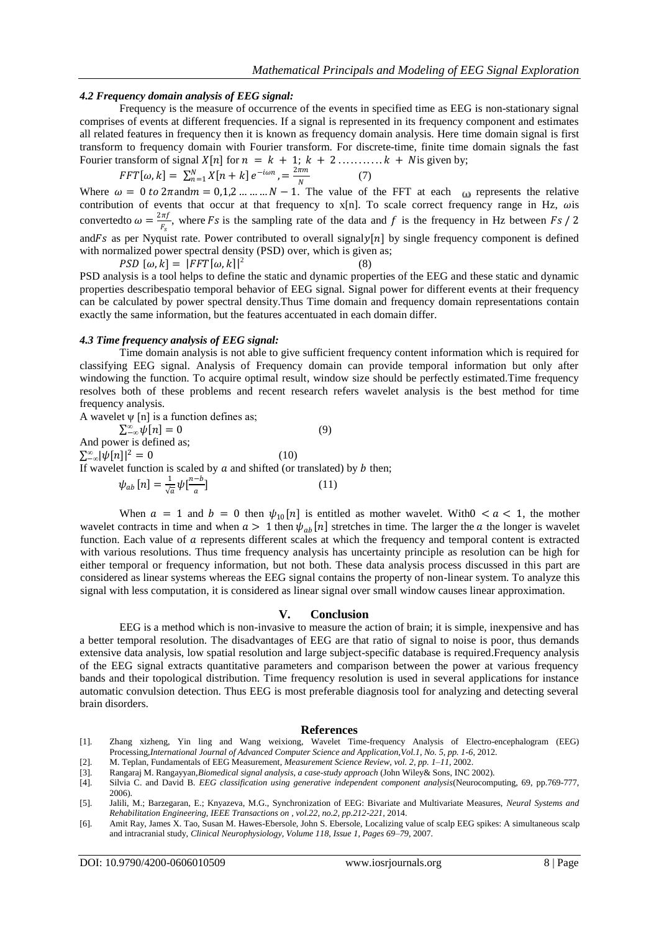#### *4.2 Frequency domain analysis of EEG signal:*

Frequency is the measure of occurrence of the events in specified time as EEG is non-stationary signal comprises of events at different frequencies. If a signal is represented in its frequency component and estimates all related features in frequency then it is known as frequency domain analysis. Here time domain signal is first transform to frequency domain with Fourier transform. For discrete-time, finite time domain signals the fast Fourier transform of signal  $X[n]$  for  $n = k + 1; k + 2; \ldots, k + N$  is given by;

$$
FFT[\omega, k] = \sum_{n=1}^{N} X[n+k] e^{-i\omega n}, = \frac{2\pi m}{N}
$$
 (7)

Where  $\omega = 0$  to  $2\pi$  and  $m = 0,1,2,...,...$   $N-1$ . The value of the FFT at each  $\omega$  represents the relative contribution of events that occur at that frequency to  $x[n]$ . To scale correct frequency range in Hz,  $\omega$ is convertedto  $\omega = \frac{2\pi f}{r}$  $\frac{n_f}{F_s}$ , where *Fs* is the sampling rate of the data and *f* is the frequency in Hz between *Fs* / 2 and Fs as per Nyquist rate. Power contributed to overall signaly [n] by single frequency component is defined with normalized power spectral density (PSD) over, which is given as;

$$
PSD\left[\omega,k\right] = \left| FFT[\omega,k] \right|^2 \tag{8}
$$

PSD analysis is a tool helps to define the static and dynamic properties of the EEG and these static and dynamic properties describespatio temporal behavior of EEG signal. Signal power for different events at their frequency can be calculated by power spectral density.Thus Time domain and frequency domain representations contain exactly the same information, but the features accentuated in each domain differ.

#### *4.3 Time frequency analysis of EEG signal:*

Time domain analysis is not able to give sufficient frequency content information which is required for classifying EEG signal. Analysis of Frequency domain can provide temporal information but only after windowing the function. To acquire optimal result, window size should be perfectly estimated. Time frequency resolves both of these problems and recent research refers wavelet analysis is the best method for time frequency analysis.

A wavelet  $\psi$  [n] is a function defines as;

 $\sum_{-\infty}^{\infty} \psi[n] = 0$  (9) And power is defined as;  $\sum_{-\infty}^{\infty} |\psi[n]|^2=0$  $\int_{-\infty}^{\infty} |\psi[n]|^2 = 0$  (10) If wavelet function is scaled by  $\alpha$  and shifted (or translated) by  $b$  then;  $\psi_{ab}[n] = \frac{1}{\sqrt{a}}$  $\frac{1}{\sqrt{a}}\psi\left[\frac{n-b}{a}\right]$  $(11)$ 

 $\alpha$ 

When  $a = 1$  and  $b = 0$  then  $\psi_{10}[n]$  is entitled as mother wavelet. With  $0 < a < 1$ , the mother wavelet contracts in time and when  $a > 1$  then  $\psi_{ab}[n]$  stretches in time. The larger the a the longer is wavelet function. Each value of  $\alpha$  represents different scales at which the frequency and temporal content is extracted with various resolutions. Thus time frequency analysis has uncertainty principle as resolution can be high for either temporal or frequency information, but not both. These data analysis process discussed in this part are considered as linear systems whereas the EEG signal contains the property of non-linear system. To analyze this signal with less computation, it is considered as linear signal over small window causes linear approximation.

#### **V. Conclusion**

EEG is a method which is non-invasive to measure the action of brain; it is simple, inexpensive and has a better temporal resolution. The disadvantages of EEG are that ratio of signal to noise is poor, thus demands extensive data analysis, low spatial resolution and large subject-specific database is required.Frequency analysis of the EEG signal extracts quantitative parameters and comparison between the power at various frequency bands and their topological distribution. Time frequency resolution is used in several applications for instance automatic convulsion detection. Thus EEG is most preferable diagnosis tool for analyzing and detecting several brain disorders.

#### **References**

- [1]. Zhang xizheng, Yin ling and Wang weixiong, Wavelet Time-frequency Analysis of Electro-encephalogram (EEG) Processing,*International Journal of Advanced Computer Science and Application,Vol.1, No. 5, pp. 1-6,* 2012.
- [2]. M. Teplan, Fundamentals of EEG Measurement, *Measurement Science Review, vol. 2, pp. 1–11,* 2002.
- [3]. Rangaraj M. Rangayyan,*Biomedical signal analysis, a case-study approach* (John Wiley& Sons, INC 2002).

<sup>[4].</sup> Silvia C. and David B. *EEG classification using generative independent component analysis*(Neurocomputing, 69, pp.769-777, 2006).

<sup>[5].</sup> Jalili, M.; Barzegaran, E.; Knyazeva, M.G., Synchronization of EEG: Bivariate and Multivariate Measures, *Neural Systems and Rehabilitation Engineering, IEEE Transactions on , vol.22, no.2, pp.212-221,* 2014.

<sup>[6].</sup> Amit Ray, James X. Tao, Susan M. Hawes-Ebersole, John S. Ebersole, Localizing value of scalp EEG spikes: A simultaneous scalp and intracranial study, *Clinical Neurophysiology, Volume 118, Issue 1, Pages 69–79*, 2007.